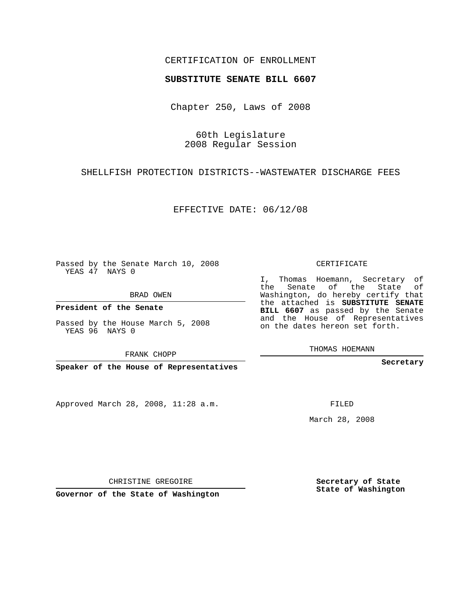## CERTIFICATION OF ENROLLMENT

## **SUBSTITUTE SENATE BILL 6607**

Chapter 250, Laws of 2008

60th Legislature 2008 Regular Session

SHELLFISH PROTECTION DISTRICTS--WASTEWATER DISCHARGE FEES

EFFECTIVE DATE: 06/12/08

Passed by the Senate March 10, 2008 YEAS 47 NAYS 0

BRAD OWEN

**President of the Senate**

Passed by the House March 5, 2008 YEAS 96 NAYS 0

FRANK CHOPP

**Speaker of the House of Representatives**

Approved March 28, 2008, 11:28 a.m.

CERTIFICATE

I, Thomas Hoemann, Secretary of the Senate of the State of Washington, do hereby certify that the attached is **SUBSTITUTE SENATE BILL 6607** as passed by the Senate and the House of Representatives on the dates hereon set forth.

THOMAS HOEMANN

**Secretary**

FILED

March 28, 2008

**Secretary of State State of Washington**

CHRISTINE GREGOIRE

**Governor of the State of Washington**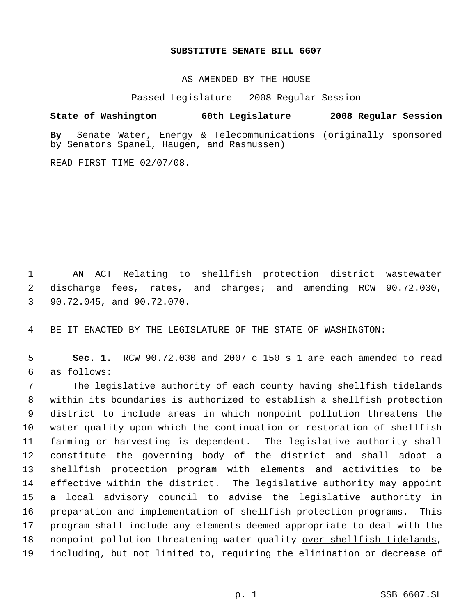## **SUBSTITUTE SENATE BILL 6607** \_\_\_\_\_\_\_\_\_\_\_\_\_\_\_\_\_\_\_\_\_\_\_\_\_\_\_\_\_\_\_\_\_\_\_\_\_\_\_\_\_\_\_\_\_

\_\_\_\_\_\_\_\_\_\_\_\_\_\_\_\_\_\_\_\_\_\_\_\_\_\_\_\_\_\_\_\_\_\_\_\_\_\_\_\_\_\_\_\_\_

AS AMENDED BY THE HOUSE

Passed Legislature - 2008 Regular Session

**State of Washington 60th Legislature 2008 Regular Session**

**By** Senate Water, Energy & Telecommunications (originally sponsored by Senators Spanel, Haugen, and Rasmussen)

READ FIRST TIME 02/07/08.

 1 AN ACT Relating to shellfish protection district wastewater 2 discharge fees, rates, and charges; and amending RCW 90.72.030, 3 90.72.045, and 90.72.070.

4 BE IT ENACTED BY THE LEGISLATURE OF THE STATE OF WASHINGTON:

 5 **Sec. 1.** RCW 90.72.030 and 2007 c 150 s 1 are each amended to read 6 as follows:

 The legislative authority of each county having shellfish tidelands within its boundaries is authorized to establish a shellfish protection district to include areas in which nonpoint pollution threatens the water quality upon which the continuation or restoration of shellfish farming or harvesting is dependent. The legislative authority shall constitute the governing body of the district and shall adopt a 13 shellfish protection program with elements and activities to be effective within the district. The legislative authority may appoint a local advisory council to advise the legislative authority in preparation and implementation of shellfish protection programs. This program shall include any elements deemed appropriate to deal with the 18 nonpoint pollution threatening water quality over shellfish tidelands, including, but not limited to, requiring the elimination or decrease of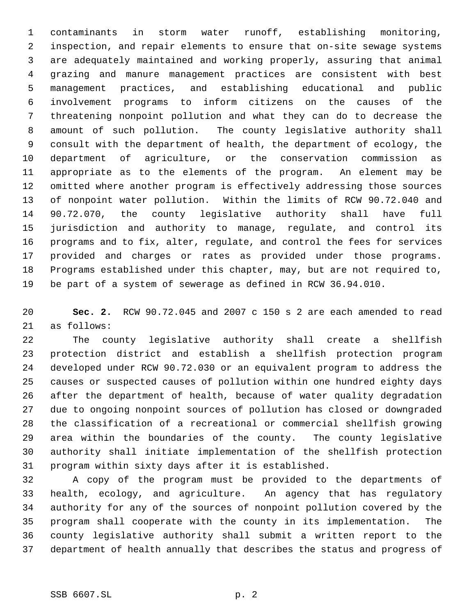contaminants in storm water runoff, establishing monitoring, inspection, and repair elements to ensure that on-site sewage systems are adequately maintained and working properly, assuring that animal grazing and manure management practices are consistent with best management practices, and establishing educational and public involvement programs to inform citizens on the causes of the threatening nonpoint pollution and what they can do to decrease the amount of such pollution. The county legislative authority shall consult with the department of health, the department of ecology, the department of agriculture, or the conservation commission as appropriate as to the elements of the program. An element may be omitted where another program is effectively addressing those sources of nonpoint water pollution. Within the limits of RCW 90.72.040 and 90.72.070, the county legislative authority shall have full jurisdiction and authority to manage, regulate, and control its programs and to fix, alter, regulate, and control the fees for services provided and charges or rates as provided under those programs. Programs established under this chapter, may, but are not required to, be part of a system of sewerage as defined in RCW 36.94.010.

 **Sec. 2.** RCW 90.72.045 and 2007 c 150 s 2 are each amended to read as follows:

 The county legislative authority shall create a shellfish protection district and establish a shellfish protection program developed under RCW 90.72.030 or an equivalent program to address the causes or suspected causes of pollution within one hundred eighty days after the department of health, because of water quality degradation due to ongoing nonpoint sources of pollution has closed or downgraded the classification of a recreational or commercial shellfish growing area within the boundaries of the county. The county legislative authority shall initiate implementation of the shellfish protection program within sixty days after it is established.

 A copy of the program must be provided to the departments of health, ecology, and agriculture. An agency that has regulatory authority for any of the sources of nonpoint pollution covered by the program shall cooperate with the county in its implementation. The county legislative authority shall submit a written report to the department of health annually that describes the status and progress of